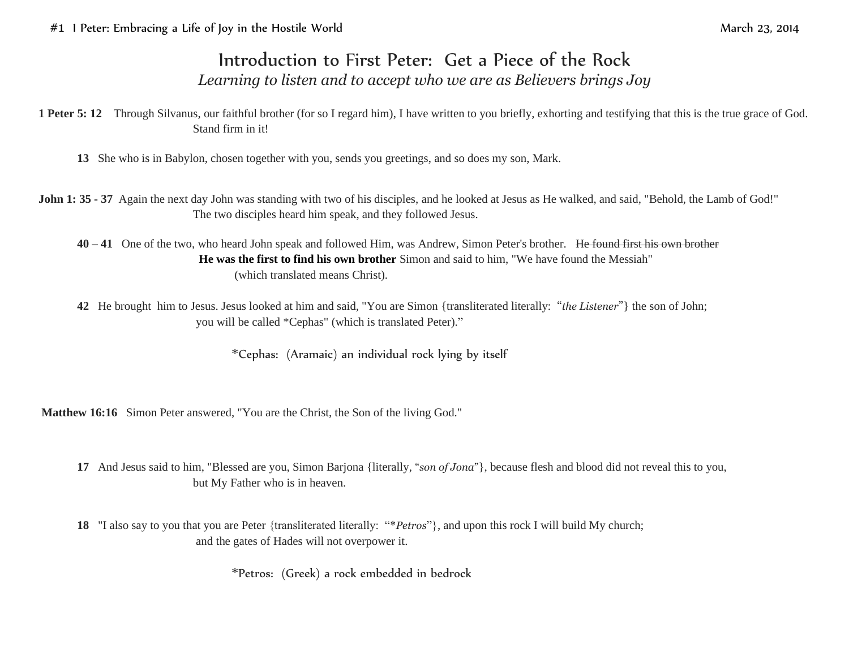## Introduction to First Peter: Get a Piece of the Rock *Learning to listen and to accept who we are as Believers brings Joy*

**1 Peter 5: 12** Through Silvanus, our faithful brother (for so I regard him), I have written to you briefly, exhorting and testifying that this is the true grace of God. Stand firm in it!

- **13** She who is in Babylon, chosen together with you, sends you greetings, and so does my son, Mark.
- **John 1: 35 37** Again the next day John was standing with two of his disciples, and he looked at Jesus as He walked, and said, "Behold, the Lamb of God!" The two disciples heard him speak, and they followed Jesus.
	- **40 – 41** One of the two, who heard John speak and followed Him, was Andrew, Simon Peter's brother. He found first his own brother **He was the first to find his own brother** Simon and said to him, "We have found the Messiah" (which translated means Christ).
	- **42** He brought him to Jesus. Jesus looked at him and said, "You are Simon {transliterated literally: "*the Listener*"} the son of John; you will be called \*Cephas" (which is translated Peter)."

\*Cephas: (Aramaic) an individual rock lying by itself

**Matthew 16:16** Simon Peter answered, "You are the Christ, the Son of the living God."

- **17** And Jesus said to him, "Blessed are you, Simon Barjona {literally, "*son of Jona*"}, because flesh and blood did not reveal this to you, but My Father who is in heaven.
- **18** "I also say to you that you are Peter {transliterated literally: "\**Petros*"}, and upon this rock I will build My church; and the gates of Hades will not overpower it.

\*Petros: (Greek) a rock embedded in bedrock